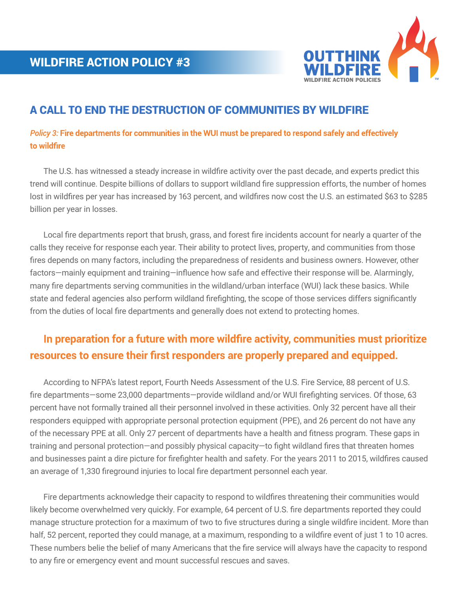

# A CALL TO END THE DESTRUCTION OF COMMUNITIES BY WILDFIRE

### *Policy 3:* **Fire departments for communities in the WUI must be prepared to respond safely and effectively to wildfire**

 The U.S. has witnessed a steady increase in wildfire activity over the past decade, and experts predict this trend will continue. Despite billions of dollars to support wildland fire suppression efforts, the number of homes lost in wildfires per year has increased by 163 percent, and wildfires now cost the U.S. an estimated \$63 to \$285 billion per year in losses.

 Local fire departments report that brush, grass, and forest fire incidents account for nearly a quarter of the calls they receive for response each year. Their ability to protect lives, property, and communities from those fires depends on many factors, including the preparedness of residents and business owners. However, other factors—mainly equipment and training—influence how safe and effective their response will be. Alarmingly, many fire departments serving communities in the wildland/urban interface (WUI) lack these basics. While state and federal agencies also perform wildland firefighting, the scope of those services differs significantly from the duties of local fire departments and generally does not extend to protecting homes.

# **In preparation for a future with more wildfire activity, communities must prioritize resources to ensure their first responders are properly prepared and equipped.**

 According to NFPA's latest report, Fourth Needs Assessment of the U.S. Fire Service, 88 percent of U.S. fire departments—some 23,000 departments—provide wildland and/or WUI firefighting services. Of those, 63 percent have not formally trained all their personnel involved in these activities. Only 32 percent have all their responders equipped with appropriate personal protection equipment (PPE), and 26 percent do not have any of the necessary PPE at all. Only 27 percent of departments have a health and fitness program. These gaps in training and personal protection—and possibly physical capacity—to fight wildland fires that threaten homes and businesses paint a dire picture for firefighter health and safety. For the years 2011 to 2015, wildfires caused an average of 1,330 fireground injuries to local fire department personnel each year.

 Fire departments acknowledge their capacity to respond to wildfires threatening their communities would likely become overwhelmed very quickly. For example, 64 percent of U.S. fire departments reported they could manage structure protection for a maximum of two to five structures during a single wildfire incident. More than half, 52 percent, reported they could manage, at a maximum, responding to a wildfire event of just 1 to 10 acres. These numbers belie the belief of many Americans that the fire service will always have the capacity to respond to any fire or emergency event and mount successful rescues and saves.